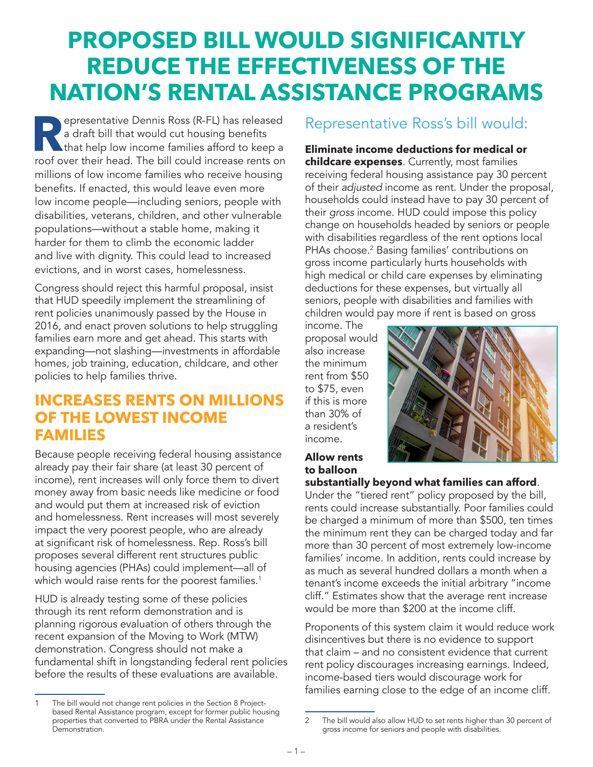# **PROPOSED BILL WOULD SIGNIFICANTLY REDUCE THE EFFECTIVENESS OF THE NATION'S RENTAL ASSISTANCE PROGRAMS**

**Representative Dennis Ross (R-FL) has released a draft bill that would cut housing benefits that help low income families afford to keep a represent and the bill could increase represents on** a draft bill that would cut housing benefits roof over their head. The bill could increase rents on millions of low income families who receive housing benefits. If enacted, this would leave even more low income people—including seniors, people with disabilities, veterans, children, and other vulnerable populations—without a stable home, making it harder for them to climb the economic ladder and live with dignity. This could lead to increased evictions, and in worst cases, homelessness.

Congress should reject this harmful proposal, insist that HUD speedily implement the streamlining of rent policies unanimously passed by the House in 2016, and enact proven solutions to help struggling families earn more and get ahead. This starts with expanding—not slashing—investments in affordable homes, job training, education, childcare, and other policies to help families thrive.

### **INCREASES RENTS ON MILLIONS OF THE LOWEST INCOME FAMILIES**

Because people receiving federal housing assistance already pay their fair share (at least 30 percent of income), rent increases will only force them to divert money away from basic needs like medicine or food and would put them at increased risk of eviction and homelessness. Rent increases will most severely impact the very poorest people, who are already at significant risk of homelessness. Rep. Ross's bill proposes several different rent structures public housing agencies (PHAs) could implement—all of which would raise rents for the poorest families.<sup>1</sup>

HUD is already testing some of these policies through its rent reform demonstration and is planning rigorous evaluation of others through the recent expansion of the Moving to Work (MTW) demonstration. Congress should not make a fundamental shift in longstanding federal rent policies before the results of these evaluations are available.

### Representative Ross's bill would:

**Eliminate income deductions for medical or childcare expenses**. Currently, most families receiving federal housing assistance pay 30 percent of their *adjusted* income as rent. Under the proposal, households could instead have to pay 30 percent of their *gross* income. HUD could impose this policy change on households headed by seniors or people with disabilities regardless of the rent options local PHAs choose.<sup>2</sup> Basing families' contributions on gross income particularly hurts households with high medical or child care expenses by eliminating deductions for these expenses, but virtually all seniors, people with disabilities and families with children would pay more if rent is based on gross

income. The proposal would also increase the minimum rent from \$50 to \$75, even if this is more than 30% of a resident's income.



### **Allow rents to balloon**

#### **substantially beyond what families can afford**.

Under the "tiered rent" policy proposed by the bill, rents could increase substantially. Poor families could be charged a minimum of more than \$500, ten times the minimum rent they can be charged today and far more than 30 percent of most extremely low-income families' income. In addition, rents could increase by as much as several hundred dollars a month when a tenant's income exceeds the initial arbitrary "income cliff." Estimates show that the average rent increase would be more than \$200 at the income cliff.

Proponents of this system claim it would reduce work disincentives but there is no evidence to support that claim – and no consistent evidence that current rent policy discourages increasing earnings. Indeed, income-based tiers would discourage work for families earning close to the edge of an income cliff.

The bill would not change rent policies in the Section 8 Projectbased Rental Assistance program, except for former public housing properties that converted to PBRA under the Rental Assistance Demonstration.

<sup>2</sup> The bill would also allow HUD to set rents higher than 30 percent of gross income for seniors and people with disabilities.